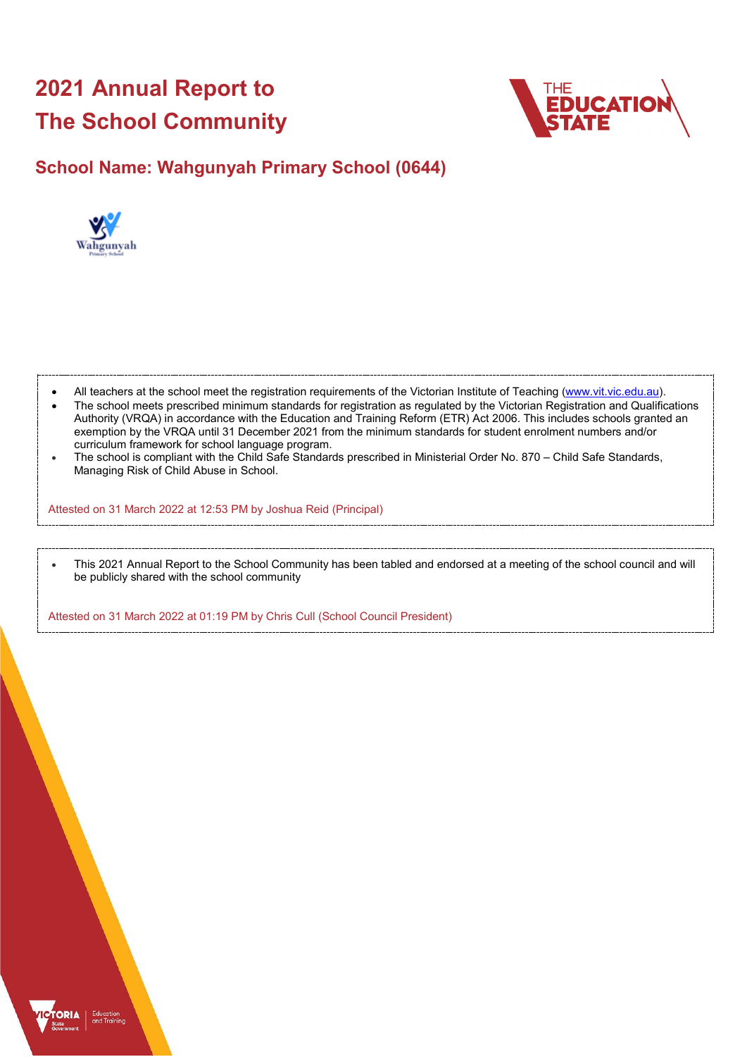# **2021 Annual Report to The School Community**



## **School Name: Wahgunyah Primary School (0644)**



- All teachers at the school meet the registration requirements of the Victorian Institute of Teaching [\(www.vit.vic.edu.au\)](https://www.vit.vic.edu.au/).
- The school meets prescribed minimum standards for registration as regulated by the Victorian Registration and Qualifications Authority (VRQA) in accordance with the Education and Training Reform (ETR) Act 2006. This includes schools granted an exemption by the VRQA until 31 December 2021 from the minimum standards for student enrolment numbers and/or curriculum framework for school language program.
- The school is compliant with the Child Safe Standards prescribed in Ministerial Order No. 870 Child Safe Standards, Managing Risk of Child Abuse in School.

Attested on 31 March 2022 at 12:53 PM by Joshua Reid (Principal)

• This 2021 Annual Report to the School Community has been tabled and endorsed at a meeting of the school council and will be publicly shared with the school community

Attested on 31 March 2022 at 01:19 PM by Chris Cull (School Council President)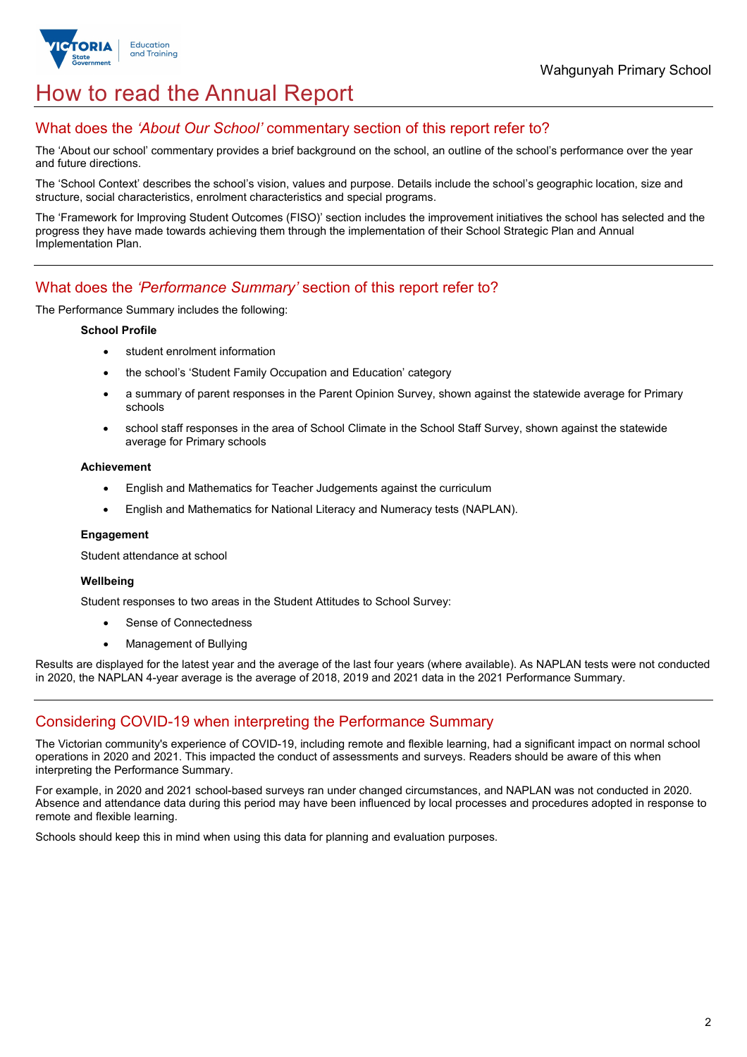

## How to read the Annual Report

### What does the *'About Our School'* commentary section of this report refer to?

The 'About our school' commentary provides a brief background on the school, an outline of the school's performance over the year and future directions.

The 'School Context' describes the school's vision, values and purpose. Details include the school's geographic location, size and structure, social characteristics, enrolment characteristics and special programs.

The 'Framework for Improving Student Outcomes (FISO)' section includes the improvement initiatives the school has selected and the progress they have made towards achieving them through the implementation of their School Strategic Plan and Annual Implementation Plan.

### What does the *'Performance Summary'* section of this report refer to?

The Performance Summary includes the following:

#### **School Profile**

- student enrolment information
- the school's 'Student Family Occupation and Education' category
- a summary of parent responses in the Parent Opinion Survey, shown against the statewide average for Primary schools
- school staff responses in the area of School Climate in the School Staff Survey, shown against the statewide average for Primary schools

#### **Achievement**

- English and Mathematics for Teacher Judgements against the curriculum
- English and Mathematics for National Literacy and Numeracy tests (NAPLAN).

#### **Engagement**

Student attendance at school

#### **Wellbeing**

Student responses to two areas in the Student Attitudes to School Survey:

- Sense of Connectedness
- Management of Bullying

Results are displayed for the latest year and the average of the last four years (where available). As NAPLAN tests were not conducted in 2020, the NAPLAN 4-year average is the average of 2018, 2019 and 2021 data in the 2021 Performance Summary.

## Considering COVID-19 when interpreting the Performance Summary

The Victorian community's experience of COVID-19, including remote and flexible learning, had a significant impact on normal school operations in 2020 and 2021. This impacted the conduct of assessments and surveys. Readers should be aware of this when interpreting the Performance Summary.

For example, in 2020 and 2021 school-based surveys ran under changed circumstances, and NAPLAN was not conducted in 2020. Absence and attendance data during this period may have been influenced by local processes and procedures adopted in response to remote and flexible learning.

Schools should keep this in mind when using this data for planning and evaluation purposes.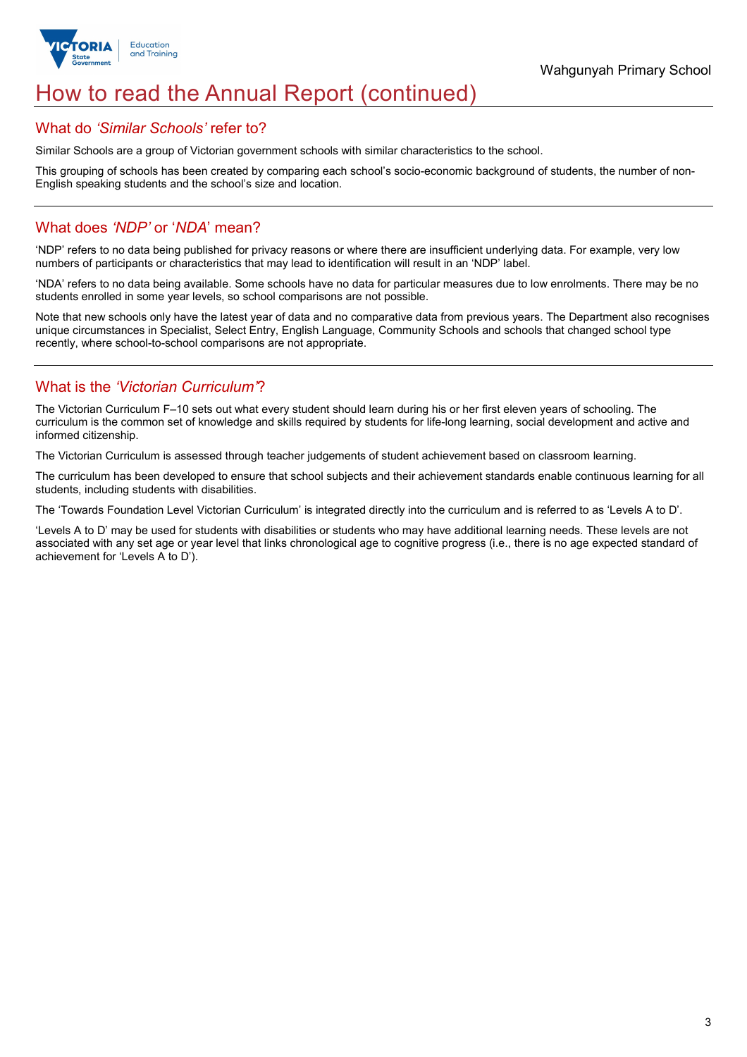

## How to read the Annual Report (continued)

#### What do *'Similar Schools'* refer to?

Similar Schools are a group of Victorian government schools with similar characteristics to the school.

This grouping of schools has been created by comparing each school's socio-economic background of students, the number of non-English speaking students and the school's size and location.

### What does *'NDP'* or '*NDA*' mean?

'NDP' refers to no data being published for privacy reasons or where there are insufficient underlying data. For example, very low numbers of participants or characteristics that may lead to identification will result in an 'NDP' label.

'NDA' refers to no data being available. Some schools have no data for particular measures due to low enrolments. There may be no students enrolled in some year levels, so school comparisons are not possible.

Note that new schools only have the latest year of data and no comparative data from previous years. The Department also recognises unique circumstances in Specialist, Select Entry, English Language, Community Schools and schools that changed school type recently, where school-to-school comparisons are not appropriate.

## What is the *'Victorian Curriculum'*?

The Victorian Curriculum F–10 sets out what every student should learn during his or her first eleven years of schooling. The curriculum is the common set of knowledge and skills required by students for life-long learning, social development and active and informed citizenship.

The Victorian Curriculum is assessed through teacher judgements of student achievement based on classroom learning.

The curriculum has been developed to ensure that school subjects and their achievement standards enable continuous learning for all students, including students with disabilities.

The 'Towards Foundation Level Victorian Curriculum' is integrated directly into the curriculum and is referred to as 'Levels A to D'.

'Levels A to D' may be used for students with disabilities or students who may have additional learning needs. These levels are not associated with any set age or year level that links chronological age to cognitive progress (i.e., there is no age expected standard of achievement for 'Levels A to D').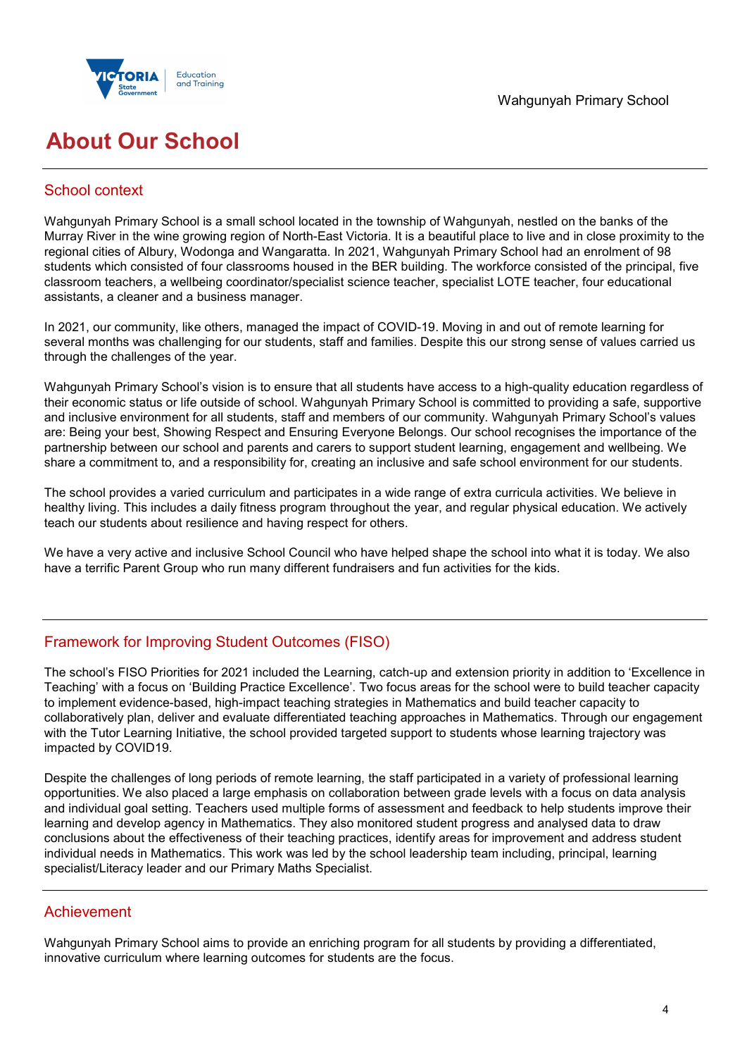



## **About Our School**

## School context

Wahgunyah Primary School is a small school located in the township of Wahgunyah, nestled on the banks of the Murray River in the wine growing region of North-East Victoria. It is a beautiful place to live and in close proximity to the regional cities of Albury, Wodonga and Wangaratta. In 2021, Wahgunyah Primary School had an enrolment of 98 students which consisted of four classrooms housed in the BER building. The workforce consisted of the principal, five classroom teachers, a wellbeing coordinator/specialist science teacher, specialist LOTE teacher, four educational assistants, a cleaner and a business manager.

In 2021, our community, like others, managed the impact of COVID-19. Moving in and out of remote learning for several months was challenging for our students, staff and families. Despite this our strong sense of values carried us through the challenges of the year.

Wahgunyah Primary School's vision is to ensure that all students have access to a high-quality education regardless of their economic status or life outside of school. Wahgunyah Primary School is committed to providing a safe, supportive and inclusive environment for all students, staff and members of our community. Wahgunyah Primary School's values are: Being your best, Showing Respect and Ensuring Everyone Belongs. Our school recognises the importance of the partnership between our school and parents and carers to support student learning, engagement and wellbeing. We share a commitment to, and a responsibility for, creating an inclusive and safe school environment for our students.

The school provides a varied curriculum and participates in a wide range of extra curricula activities. We believe in healthy living. This includes a daily fitness program throughout the year, and regular physical education. We actively teach our students about resilience and having respect for others.

We have a very active and inclusive School Council who have helped shape the school into what it is today. We also have a terrific Parent Group who run many different fundraisers and fun activities for the kids.

## Framework for Improving Student Outcomes (FISO)

The school's FISO Priorities for 2021 included the Learning, catch-up and extension priority in addition to 'Excellence in Teaching' with a focus on 'Building Practice Excellence'. Two focus areas for the school were to build teacher capacity to implement evidence-based, high-impact teaching strategies in Mathematics and build teacher capacity to collaboratively plan, deliver and evaluate differentiated teaching approaches in Mathematics. Through our engagement with the Tutor Learning Initiative, the school provided targeted support to students whose learning trajectory was impacted by COVID19.

Despite the challenges of long periods of remote learning, the staff participated in a variety of professional learning opportunities. We also placed a large emphasis on collaboration between grade levels with a focus on data analysis and individual goal setting. Teachers used multiple forms of assessment and feedback to help students improve their learning and develop agency in Mathematics. They also monitored student progress and analysed data to draw conclusions about the effectiveness of their teaching practices, identify areas for improvement and address student individual needs in Mathematics. This work was led by the school leadership team including, principal, learning specialist/Literacy leader and our Primary Maths Specialist.

## Achievement

Wahgunyah Primary School aims to provide an enriching program for all students by providing a differentiated, innovative curriculum where learning outcomes for students are the focus.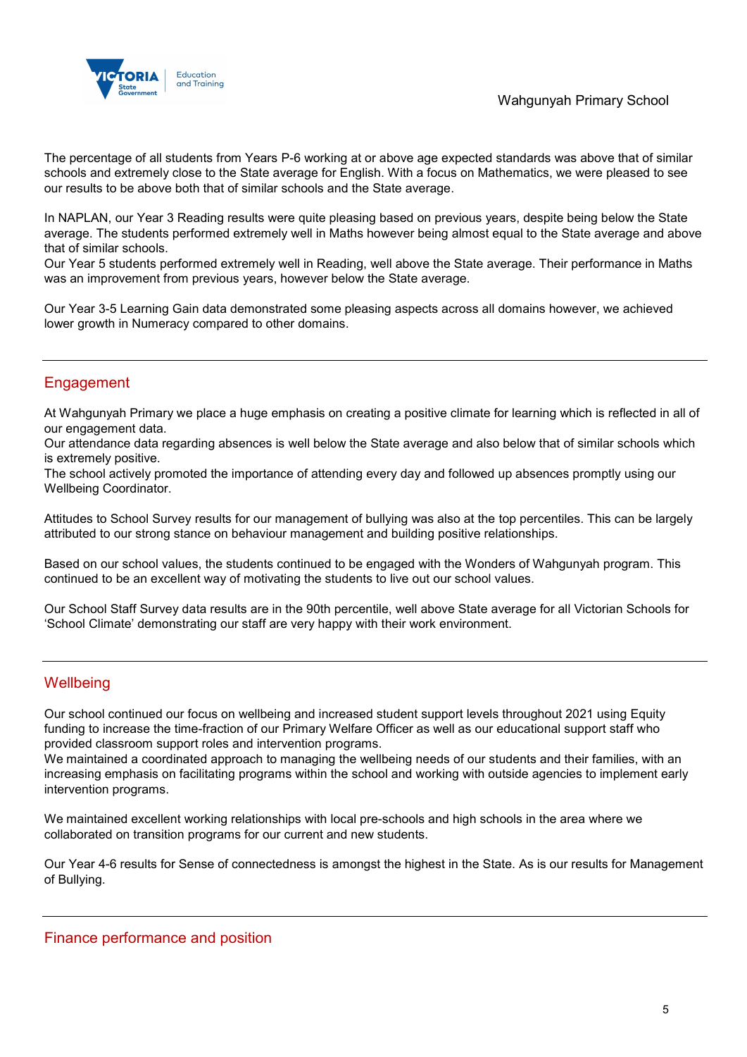

The percentage of all students from Years P-6 working at or above age expected standards was above that of similar schools and extremely close to the State average for English. With a focus on Mathematics, we were pleased to see our results to be above both that of similar schools and the State average.

In NAPLAN, our Year 3 Reading results were quite pleasing based on previous years, despite being below the State average. The students performed extremely well in Maths however being almost equal to the State average and above that of similar schools.

Our Year 5 students performed extremely well in Reading, well above the State average. Their performance in Maths was an improvement from previous years, however below the State average.

Our Year 3-5 Learning Gain data demonstrated some pleasing aspects across all domains however, we achieved lower growth in Numeracy compared to other domains.

## **Engagement**

At Wahgunyah Primary we place a huge emphasis on creating a positive climate for learning which is reflected in all of our engagement data.

Our attendance data regarding absences is well below the State average and also below that of similar schools which is extremely positive.

The school actively promoted the importance of attending every day and followed up absences promptly using our Wellbeing Coordinator.

Attitudes to School Survey results for our management of bullying was also at the top percentiles. This can be largely attributed to our strong stance on behaviour management and building positive relationships.

Based on our school values, the students continued to be engaged with the Wonders of Wahgunyah program. This continued to be an excellent way of motivating the students to live out our school values.

Our School Staff Survey data results are in the 90th percentile, well above State average for all Victorian Schools for 'School Climate' demonstrating our staff are very happy with their work environment.

## **Wellbeing**

Our school continued our focus on wellbeing and increased student support levels throughout 2021 using Equity funding to increase the time-fraction of our Primary Welfare Officer as well as our educational support staff who provided classroom support roles and intervention programs.

We maintained a coordinated approach to managing the wellbeing needs of our students and their families, with an increasing emphasis on facilitating programs within the school and working with outside agencies to implement early intervention programs.

We maintained excellent working relationships with local pre-schools and high schools in the area where we collaborated on transition programs for our current and new students.

Our Year 4-6 results for Sense of connectedness is amongst the highest in the State. As is our results for Management of Bullying.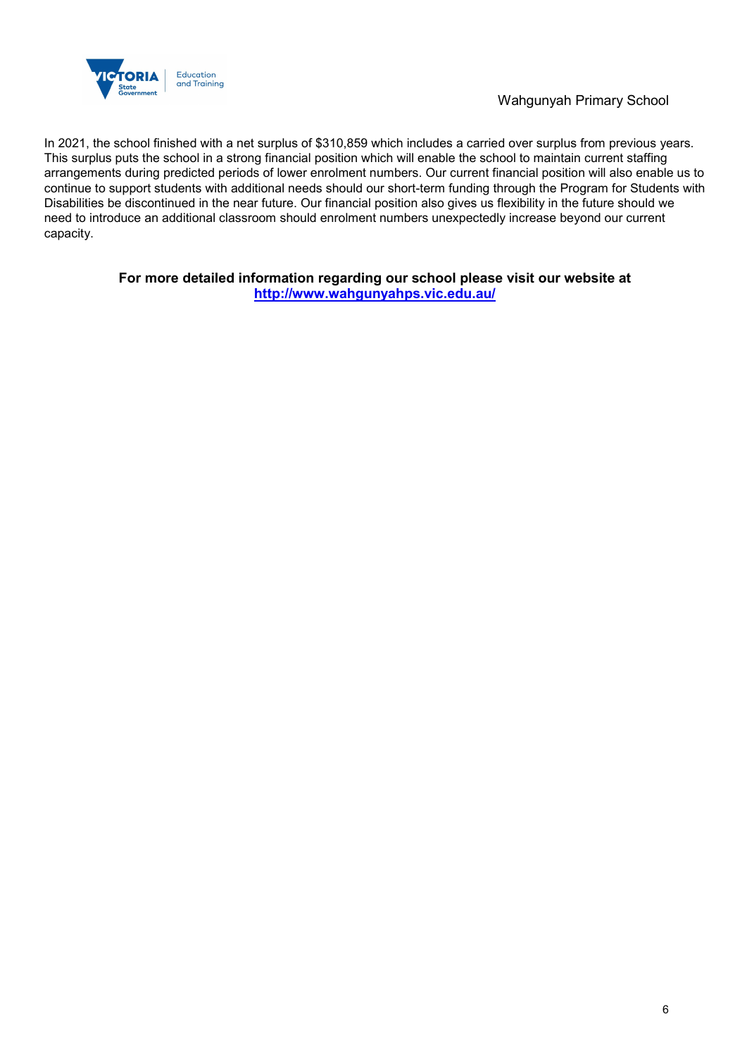

In 2021, the school finished with a net surplus of \$310,859 which includes a carried over surplus from previous years. This surplus puts the school in a strong financial position which will enable the school to maintain current staffing arrangements during predicted periods of lower enrolment numbers. Our current financial position will also enable us to continue to support students with additional needs should our short-term funding through the Program for Students with Disabilities be discontinued in the near future. Our financial position also gives us flexibility in the future should we need to introduce an additional classroom should enrolment numbers unexpectedly increase beyond our current capacity.

> **For more detailed information regarding our school please visit our website at <http://www.wahgunyahps.vic.edu.au/>**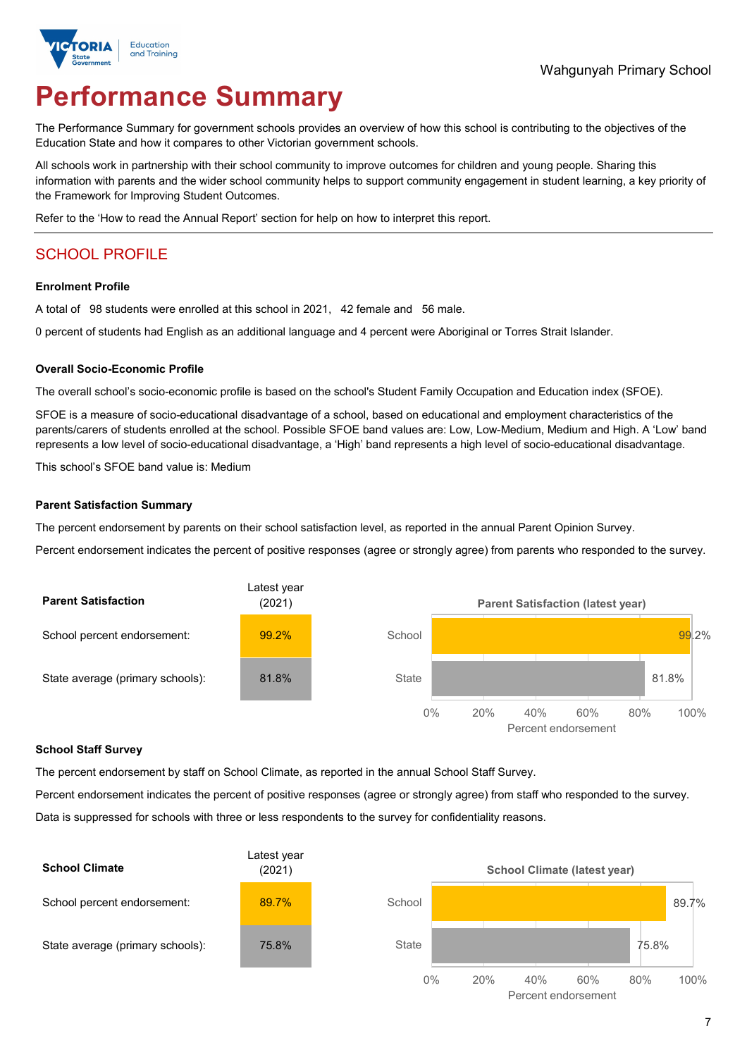

# **Performance Summary**

The Performance Summary for government schools provides an overview of how this school is contributing to the objectives of the Education State and how it compares to other Victorian government schools.

All schools work in partnership with their school community to improve outcomes for children and young people. Sharing this information with parents and the wider school community helps to support community engagement in student learning, a key priority of the Framework for Improving Student Outcomes.

Refer to the 'How to read the Annual Report' section for help on how to interpret this report.

## SCHOOL PROFILE

#### **Enrolment Profile**

A total of 98 students were enrolled at this school in 2021, 42 female and 56 male.

0 percent of students had English as an additional language and 4 percent were Aboriginal or Torres Strait Islander.

#### **Overall Socio-Economic Profile**

The overall school's socio-economic profile is based on the school's Student Family Occupation and Education index (SFOE).

SFOE is a measure of socio-educational disadvantage of a school, based on educational and employment characteristics of the parents/carers of students enrolled at the school. Possible SFOE band values are: Low, Low-Medium, Medium and High. A 'Low' band represents a low level of socio-educational disadvantage, a 'High' band represents a high level of socio-educational disadvantage.

This school's SFOE band value is: Medium

#### **Parent Satisfaction Summary**

The percent endorsement by parents on their school satisfaction level, as reported in the annual Parent Opinion Survey.

Percent endorsement indicates the percent of positive responses (agree or strongly agree) from parents who responded to the survey.



#### **School Staff Survey**

The percent endorsement by staff on School Climate, as reported in the annual School Staff Survey.

Percent endorsement indicates the percent of positive responses (agree or strongly agree) from staff who responded to the survey. Data is suppressed for schools with three or less respondents to the survey for confidentiality reasons.

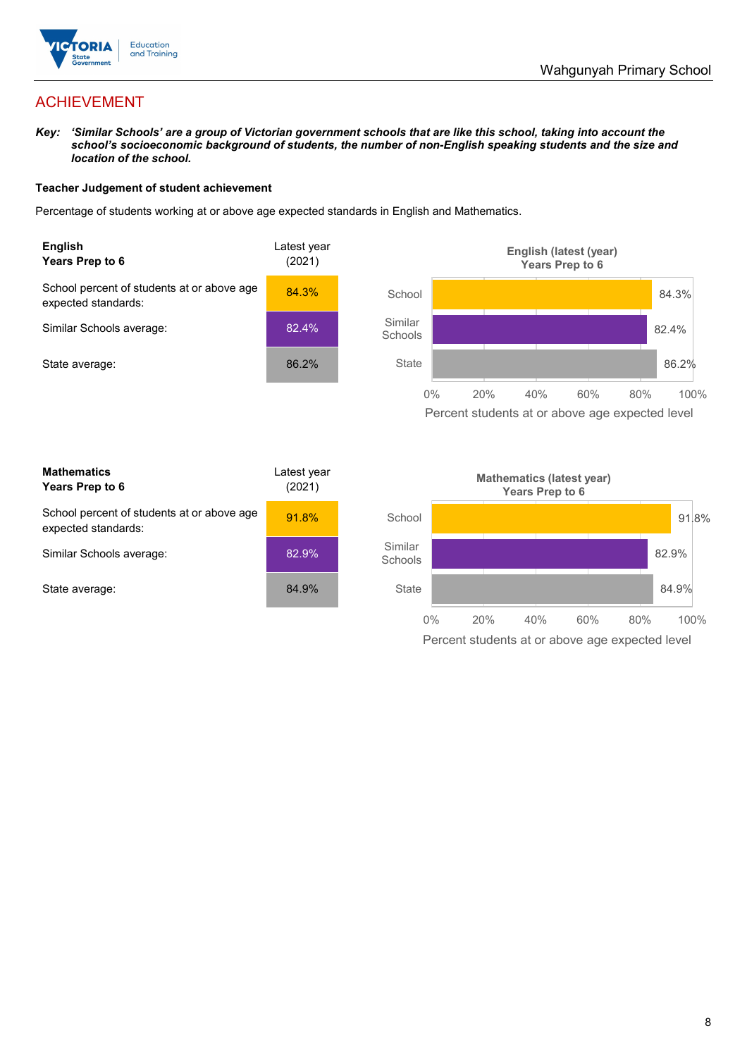

## ACHIEVEMENT

*Key: 'Similar Schools' are a group of Victorian government schools that are like this school, taking into account the school's socioeconomic background of students, the number of non-English speaking students and the size and location of the school.*

#### **Teacher Judgement of student achievement**

Percentage of students working at or above age expected standards in English and Mathematics.



Percent students at or above age expected level

| <b>Mathematics</b><br>Years Prep to 6                             | Latest year<br>(2021) |
|-------------------------------------------------------------------|-----------------------|
| School percent of students at or above age<br>expected standards: | 91.8%                 |
| Similar Schools average:                                          | 82.9%                 |
| State average:                                                    | 84.9%                 |

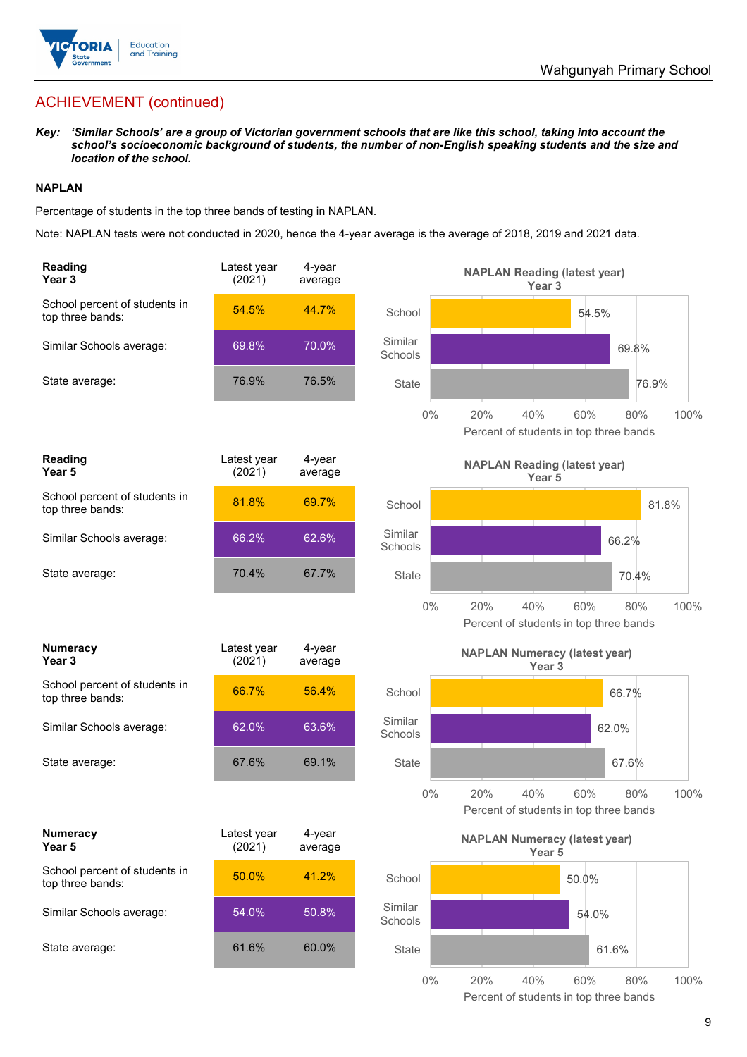

## ACHIEVEMENT (continued)

*Key: 'Similar Schools' are a group of Victorian government schools that are like this school, taking into account the school's socioeconomic background of students, the number of non-English speaking students and the size and location of the school.*

#### **NAPLAN**

Percentage of students in the top three bands of testing in NAPLAN.

Note: NAPLAN tests were not conducted in 2020, hence the 4-year average is the average of 2018, 2019 and 2021 data.

| Reading<br>Year <sub>3</sub>                      | Latest year<br>(2021) | 4-year<br>average |                    | <b>NAPLAN Reading (latest year)</b><br>Year 3             |                                                      |       |
|---------------------------------------------------|-----------------------|-------------------|--------------------|-----------------------------------------------------------|------------------------------------------------------|-------|
| School percent of students in<br>top three bands: | 54.5%                 | 44.7%             | School             |                                                           | 54.5%                                                |       |
| Similar Schools average:                          | 69.8%                 | 70.0%             | Similar<br>Schools |                                                           | 69.8%                                                |       |
| State average:                                    | 76.9%                 | 76.5%             | <b>State</b>       |                                                           | 76.9%                                                |       |
|                                                   |                       |                   | $0\%$              | 20%<br>40%                                                | 60%<br>80%<br>Percent of students in top three bands | 100%  |
| Reading<br>Year <sub>5</sub>                      | Latest year<br>(2021) | 4-year<br>average |                    | <b>NAPLAN Reading (latest year)</b><br>Year <sub>5</sub>  |                                                      |       |
| School percent of students in<br>top three bands: | 81.8%                 | 69.7%             | School             |                                                           |                                                      | 81.8% |
| Similar Schools average:                          | 66.2%                 | 62.6%             | Similar<br>Schools |                                                           | 66.2%                                                |       |
| State average:                                    | 70.4%                 | 67.7%             | <b>State</b>       |                                                           | 70.4%                                                |       |
|                                                   |                       |                   | $0\%$              | 20%<br>40%                                                | 60%<br>80%<br>Percent of students in top three bands | 100%  |
|                                                   |                       |                   |                    |                                                           |                                                      |       |
| <b>Numeracy</b><br>Year <sub>3</sub>              | Latest year<br>(2021) | 4-year<br>average |                    | <b>NAPLAN Numeracy (latest year)</b><br>Year <sub>3</sub> |                                                      |       |
| School percent of students in<br>top three bands: | 66.7%                 | 56.4%             | School             |                                                           | 66.7%                                                |       |
| Similar Schools average:                          | 62.0%                 | 63.6%             | Similar<br>Schools |                                                           | 62.0%                                                |       |
| State average:                                    | 67.6%                 | 69.1%             | <b>State</b>       |                                                           | 67.6%                                                |       |
|                                                   |                       |                   | $0\%$              | 20%<br>40%                                                | 60%<br>80%<br>Percent of students in top three bands | 100%  |
| <b>Numeracy</b><br>Year 5                         | Latest year<br>(2021) | 4-year<br>average |                    | <b>NAPLAN Numeracy (latest year)</b><br>Year 5            |                                                      |       |
| School percent of students in<br>top three bands: | 50.0%                 | 41.2%             | School             |                                                           | 50.0%                                                |       |
| Similar Schools average:                          | 54.0%                 | 50.8%             | Similar<br>Schools |                                                           | 54.0%                                                |       |
| State average:                                    | 61.6%                 | 60.0%             | State              |                                                           | 61.6%                                                |       |

9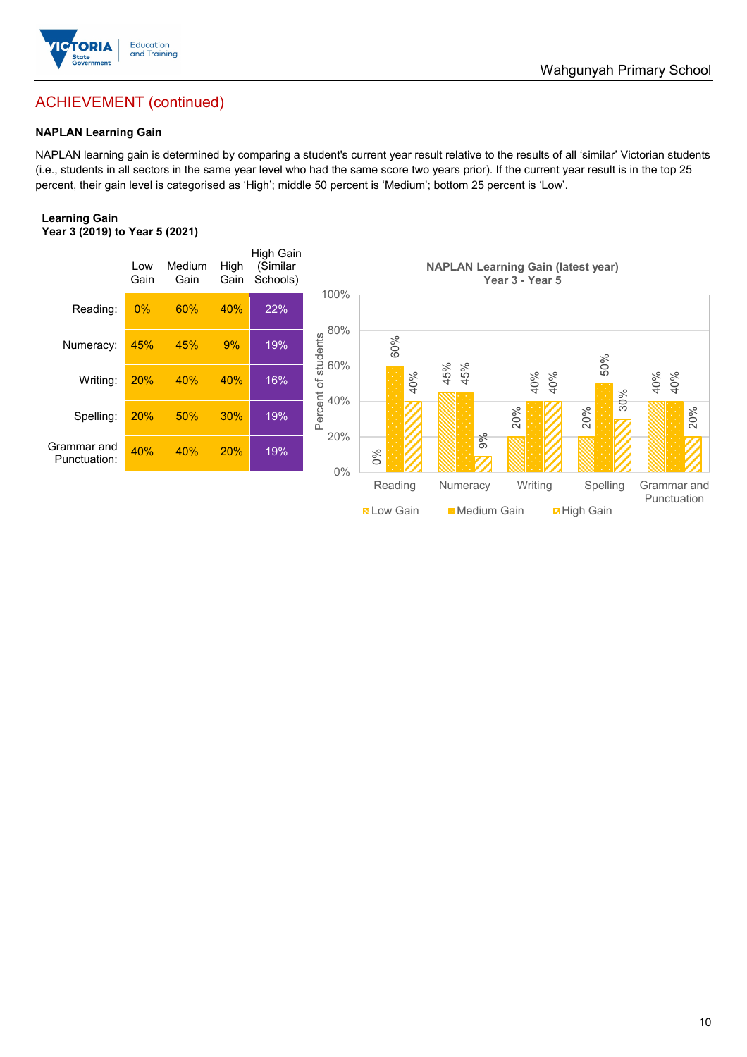

## ACHIEVEMENT (continued)

#### **NAPLAN Learning Gain**

NAPLAN learning gain is determined by comparing a student's current year result relative to the results of all 'similar' Victorian students (i.e., students in all sectors in the same year level who had the same score two years prior). If the current year result is in the top 25 percent, their gain level is categorised as 'High'; middle 50 percent is 'Medium'; bottom 25 percent is 'Low'.

#### **Learning Gain Year 3 (2019) to Year 5 (2021)**



Wahgunyah Primary School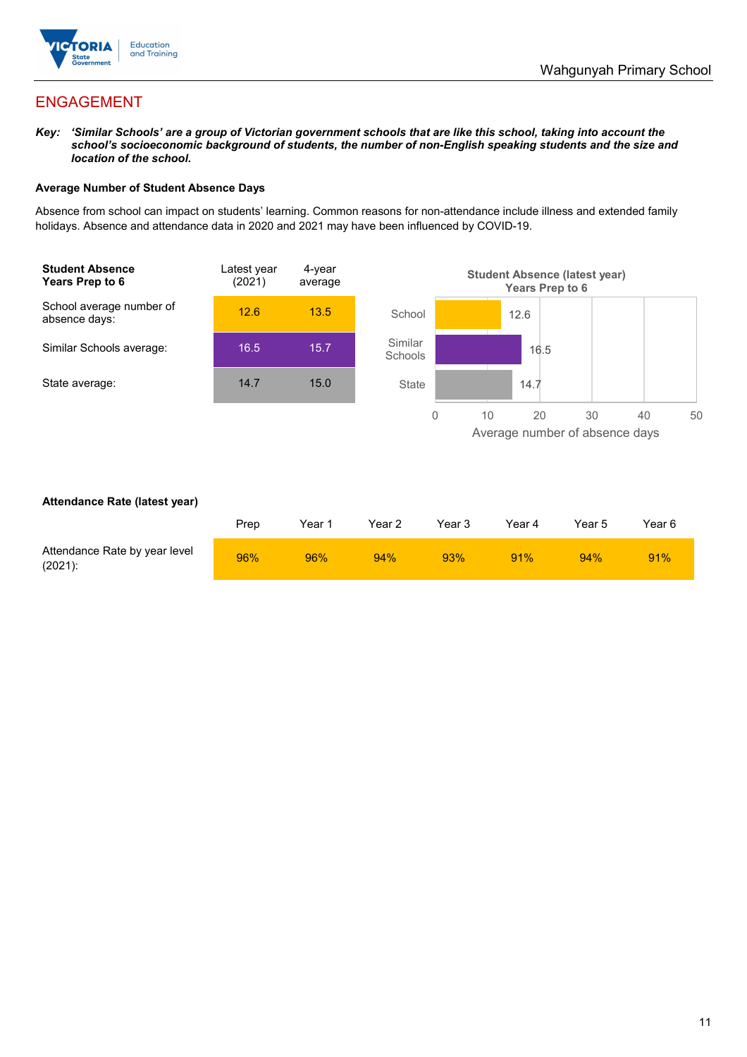

## ENGAGEMENT

*Key: 'Similar Schools' are a group of Victorian government schools that are like this school, taking into account the school's socioeconomic background of students, the number of non-English speaking students and the size and location of the school.*

#### **Average Number of Student Absence Days**

Absence from school can impact on students' learning. Common reasons for non-attendance include illness and extended family holidays. Absence and attendance data in 2020 and 2021 may have been influenced by COVID-19.



#### **Attendance Rate (latest year)**

|                                             | Prep | Year 1 | Year 2 | Year 3 | Year 4 | Year 5 | Year 6 |
|---------------------------------------------|------|--------|--------|--------|--------|--------|--------|
| Attendance Rate by year level<br>$(2021)$ : | 96%  | 96%    | 94%    | 93%    | 91%    | 94%    | 91%    |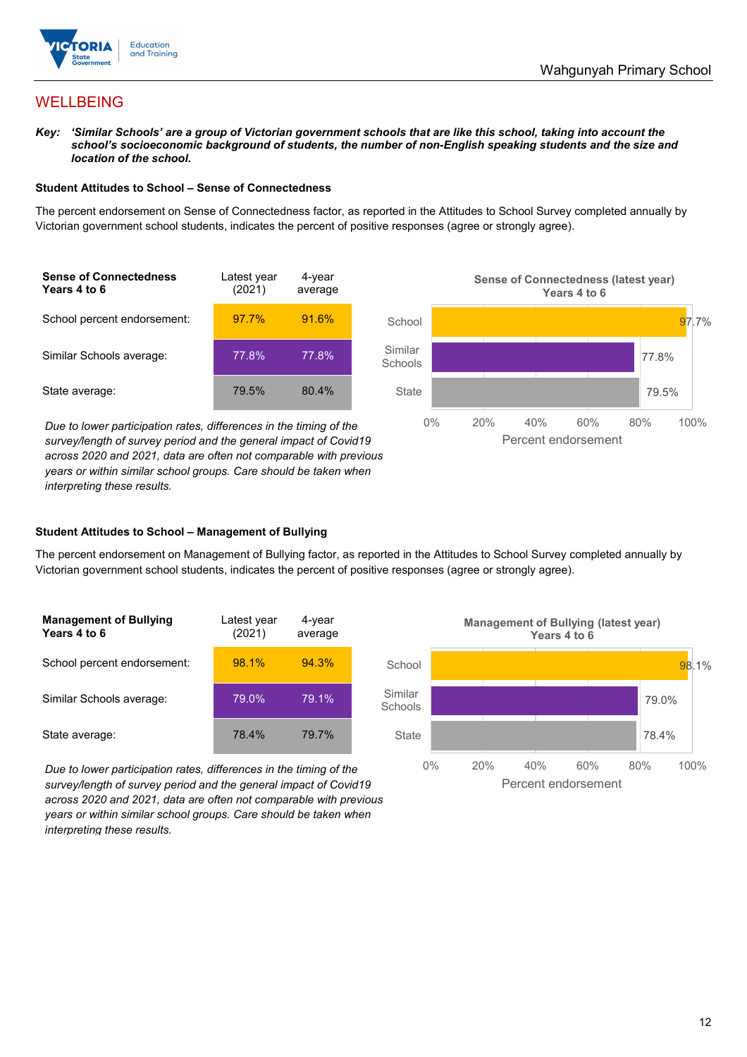

## **WELLBEING**

*Key: 'Similar Schools' are a group of Victorian government schools that are like this school, taking into account the school's socioeconomic background of students, the number of non-English speaking students and the size and location of the school.*

#### **Student Attitudes to School – Sense of Connectedness**

The percent endorsement on Sense of Connectedness factor, as reported in the Attitudes to School Survey completed annually by Victorian government school students, indicates the percent of positive responses (agree or strongly agree).

| <b>Sense of Connectedness</b><br>Years 4 to 6 | Latest year<br>(2021) | 4-year<br>average |  |
|-----------------------------------------------|-----------------------|-------------------|--|
| School percent endorsement:                   | 97.7%                 | 91.6%             |  |
| Similar Schools average:                      | 77.8%                 | 77.8%             |  |
| State average:                                | 79.5%                 | 80.4%             |  |

*Due to lower participation rates, differences in the timing of the survey/length of survey period and the general impact of Covid19 across 2020 and 2021, data are often not comparable with previous years or within similar school groups. Care should be taken when interpreting these results.*



#### **Student Attitudes to School – Management of Bullying**

The percent endorsement on Management of Bullying factor, as reported in the Attitudes to School Survey completed annually by Victorian government school students, indicates the percent of positive responses (agree or strongly agree).

| <b>Management of Bullying</b><br>Years 4 to 6 | Latest year<br>(2021) | 4-year<br>average |  |
|-----------------------------------------------|-----------------------|-------------------|--|
| School percent endorsement:                   | 98.1%                 | 94.3%             |  |
| Similar Schools average:                      | 79.0%                 | 79.1%             |  |
| State average:                                | 78.4%                 | 79.7%             |  |

*Due to lower participation rates, differences in the timing of the survey/length of survey period and the general impact of Covid19 across 2020 and 2021, data are often not comparable with previous years or within similar school groups. Care should be taken when interpreting these results.*

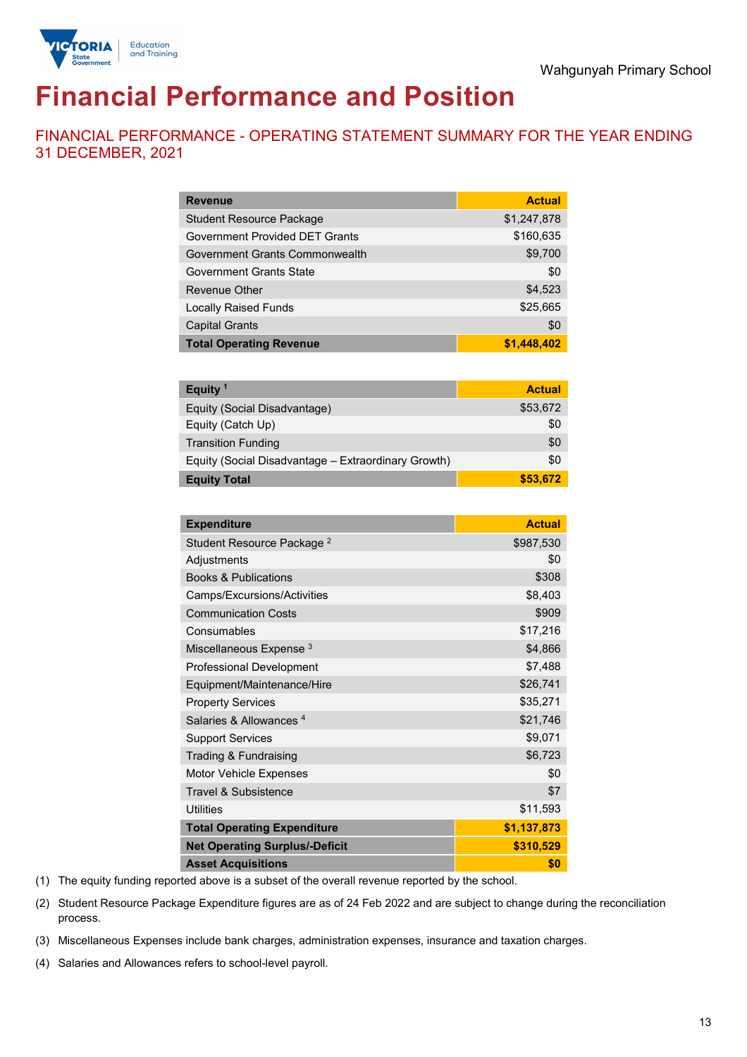

# **Financial Performance and Position**

FINANCIAL PERFORMANCE - OPERATING STATEMENT SUMMARY FOR THE YEAR ENDING 31 DECEMBER, 2021

| <b>Revenue</b>                        | <b>Actual</b> |
|---------------------------------------|---------------|
| <b>Student Resource Package</b>       | \$1,247,878   |
| <b>Government Provided DET Grants</b> | \$160,635     |
| Government Grants Commonwealth        | \$9,700       |
| <b>Government Grants State</b>        | \$0           |
| <b>Revenue Other</b>                  | \$4,523       |
| <b>Locally Raised Funds</b>           | \$25,665      |
| <b>Capital Grants</b>                 | \$0           |
| <b>Total Operating Revenue</b>        | \$1,448,402   |

| Equity <sup>1</sup>                                 | <b>Actual</b> |
|-----------------------------------------------------|---------------|
| Equity (Social Disadvantage)                        | \$53,672      |
| Equity (Catch Up)                                   | \$0           |
| <b>Transition Funding</b>                           | \$0           |
| Equity (Social Disadvantage - Extraordinary Growth) | \$0           |
| <b>Equity Total</b>                                 | \$53,672      |

| <b>Expenditure</b>                    | <b>Actual</b> |
|---------------------------------------|---------------|
| Student Resource Package <sup>2</sup> | \$987,530     |
| Adjustments                           | \$0           |
| <b>Books &amp; Publications</b>       | \$308         |
| Camps/Excursions/Activities           | \$8,403       |
| <b>Communication Costs</b>            | \$909         |
| Consumables                           | \$17,216      |
| Miscellaneous Expense <sup>3</sup>    | \$4,866       |
| <b>Professional Development</b>       | \$7,488       |
| Equipment/Maintenance/Hire            | \$26,741      |
| <b>Property Services</b>              | \$35,271      |
| Salaries & Allowances <sup>4</sup>    | \$21,746      |
| <b>Support Services</b>               | \$9,071       |
| Trading & Fundraising                 | \$6,723       |
| <b>Motor Vehicle Expenses</b>         | \$0           |
| <b>Travel &amp; Subsistence</b>       | \$7           |
| <b>Utilities</b>                      | \$11,593      |
| <b>Total Operating Expenditure</b>    | \$1,137,873   |
| <b>Net Operating Surplus/-Deficit</b> | \$310,529     |
| <b>Asset Acquisitions</b>             | \$0           |

(1) The equity funding reported above is a subset of the overall revenue reported by the school.

(2) Student Resource Package Expenditure figures are as of 24 Feb 2022 and are subject to change during the reconciliation process.

(3) Miscellaneous Expenses include bank charges, administration expenses, insurance and taxation charges.

(4) Salaries and Allowances refers to school-level payroll.